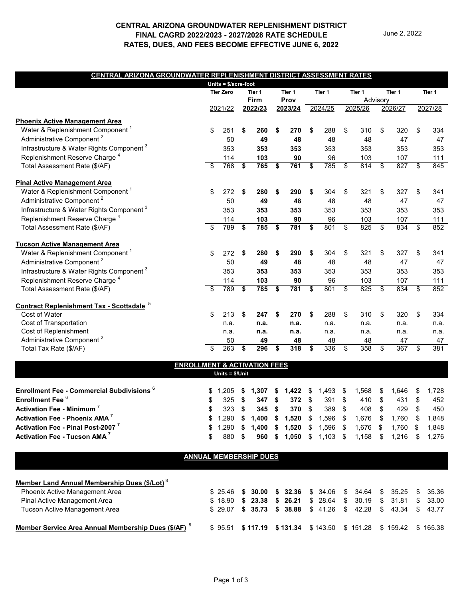## **CENTRAL ARIZONA GROUNDWATER REPLENISHMENT DISTRICT FINAL CAGRD 2022/2023 - 2027/2028 RATE SCHEDULE RATES, DUES, AND FEES BECOME EFFECTIVE JUNE 6, 2022**

### **CENTRAL ARIZONA GROUNDWATER REPLENISHMENT DISTRICT ASSESSMENT RATES**

|                                                      |                                         | Units = \$/acre-foot |             |                |         |        |         |                                     |         |        |                                                   |            |                         |        |
|------------------------------------------------------|-----------------------------------------|----------------------|-------------|----------------|---------|--------|---------|-------------------------------------|---------|--------|---------------------------------------------------|------------|-------------------------|--------|
|                                                      |                                         | <b>Tier Zero</b>     |             | Tier 1         |         | Tier 1 |         | Tier 1                              |         | Tier 1 | Tier 1                                            |            |                         | Tier 1 |
|                                                      |                                         |                      | <b>Firm</b> |                | Prov    |        |         |                                     |         |        | Advisory                                          |            |                         |        |
|                                                      |                                         | 2022/23<br>2021/22   |             |                | 2023/24 |        | 2024/25 |                                     | 2025/26 |        | 2026/27                                           |            | 2027/28                 |        |
| <b>Phoenix Active Management Area</b>                |                                         |                      |             |                |         |        |         |                                     |         |        |                                                   |            |                         |        |
| Water & Replenishment Component <sup>1</sup>         | \$                                      | 251                  | \$          | 260            | \$      | 270    | \$      | 288                                 | \$      | 310    | \$                                                | 320        | \$                      | 334    |
| Administrative Component <sup>2</sup>                |                                         | 50                   |             | 49             |         | 48     |         | 48                                  |         | 48     |                                                   | 47         |                         | 47     |
| Infrastructure & Water Rights Component <sup>3</sup> |                                         | 353                  |             | 353            |         | 353    |         | 353                                 |         | 353    |                                                   | 353        |                         | 353    |
| Replenishment Reserve Charge <sup>4</sup>            |                                         | 114                  |             | 103            |         | 90     |         | 96                                  |         | 103    |                                                   | 107        |                         | 111    |
| Total Assessment Rate (\$/AF)                        | \$                                      | 768                  | \$          | 765            | \$      | 761    | \$      | 785                                 | \$      | 814    | \$                                                | 827        | \$                      | 845    |
| <b>Pinal Active Management Area</b>                  |                                         |                      |             |                |         |        |         |                                     |         |        |                                                   |            |                         |        |
| Water & Replenishment Component <sup>1</sup>         | \$                                      | 272                  | \$          | 280            | \$      | 290    | \$      | 304                                 | \$      | 321    | \$                                                | 327        | \$                      | 341    |
| Administrative Component <sup>2</sup>                |                                         | 50                   |             | 49             |         | 48     |         | 48                                  |         | 48     |                                                   | 47         |                         | 47     |
| Infrastructure & Water Rights Component <sup>3</sup> |                                         | 353                  |             | 353            |         | 353    |         | 353                                 |         | 353    |                                                   | 353        |                         | 353    |
| Replenishment Reserve Charge <sup>4</sup>            |                                         | 114                  |             | 103            |         | 90     |         | 96                                  |         | 103    |                                                   | 107        |                         | 111    |
| Total Assessment Rate (\$/AF)                        | \$                                      | 789                  | \$          | 785            | \$      | 781    | \$      | 801                                 | \$      | 825    | \$                                                | 834        | \$                      | 852    |
| <b>Tucson Active Management Area</b>                 |                                         |                      |             |                |         |        |         |                                     |         |        |                                                   |            |                         |        |
| Water & Replenishment Component <sup>1</sup>         | \$                                      | 272                  | \$          | 280            | \$      | 290    | \$      | 304                                 | \$      | 321    | \$                                                | 327        | \$                      | 341    |
| Administrative Component <sup>2</sup>                |                                         | 50                   |             | 49             |         | 48     |         | 48                                  |         | 48     |                                                   | 47         |                         | 47     |
| Infrastructure & Water Rights Component <sup>3</sup> |                                         | 353                  |             | 353            |         | 353    |         | 353                                 |         | 353    |                                                   | 353        |                         | 353    |
| Replenishment Reserve Charge <sup>4</sup>            |                                         | 114                  |             | 103            |         | 90     |         | 96                                  |         | 103    |                                                   | 107        |                         | 111    |
| Total Assessment Rate (\$/AF)                        | \$                                      | 789                  | \$          | 785            | \$      | 781    | \$      | 801                                 | \$      | 825    | \$                                                | 834        | \$                      | 852    |
| <b>Contract Replenishment Tax - Scottsdale 5</b>     |                                         |                      |             |                |         |        |         |                                     |         |        |                                                   |            |                         |        |
| Cost of Water                                        | \$                                      | 213                  | \$          | 247            | \$      | 270    | \$      | 288                                 | \$      | 310    | \$                                                | 320        | \$                      | 334    |
| Cost of Transportation                               |                                         | n.a.                 |             | n.a.           |         | n.a.   |         | n.a.                                |         | n.a.   |                                                   | n.a.       |                         | n.a.   |
| Cost of Replenishment                                |                                         | n.a.                 |             | n.a.           |         | n.a.   |         | n.a.                                |         | n.a.   |                                                   | n.a.       |                         | n.a.   |
| Administrative Component <sup>2</sup>                |                                         | 50                   |             | 49             |         | 48     |         | 48                                  |         | 48     |                                                   | 47         |                         | 47     |
| Total Tax Rate (\$/AF)                               |                                         | 263                  | \$          | 296            | \$      | 318    | \$      | 336                                 | \$      | 358    | \$                                                | 367        | \$                      | 381    |
|                                                      | <b>ENROLLMENT &amp; ACTIVATION FEES</b> |                      |             |                |         |        |         |                                     |         |        |                                                   |            |                         |        |
|                                                      |                                         | Units = \$/Unit      |             |                |         |        |         |                                     |         |        |                                                   |            |                         |        |
| <b>Enrollment Fee - Commercial Subdivisions 6</b>    | \$                                      | 1,205                | \$          | 1,307          | \$      | 1,422  | \$      | 1,493                               | \$      | 1,568  | \$                                                | 1,646      | \$                      | 1,728  |
| Enrollment Fee <sup>6</sup>                          | \$                                      | 325                  | \$          | 347            | \$      | 372    | \$      | 391                                 | \$      | 410    | \$                                                | 431        | \$                      | 452    |
| <b>Activation Fee - Minimum</b>                      | \$                                      | 323                  | \$          | 345            | \$      | 370    | \$      | 389                                 | \$      | 408    | \$                                                | 429        | \$                      | 450    |
| Activation Fee - Phoenix AMA <sup>7</sup>            | \$                                      |                      |             |                |         |        |         | 1,290 \$ 1,400 \$ 1,520 \$ 1,596 \$ |         | 1,676  | $\, \, \raisebox{-1.5pt}{\text{\circle*{1.5}}}\,$ | 1,760      | $\sqrt[6]{\frac{1}{2}}$ | 1,848  |
| Activation Fee - Pinal Post-2007                     | \$                                      |                      |             | 1,290 \$ 1,400 |         |        |         | $$1,520 \$1,596 \$$                 |         | 1,676  | S,                                                | $1,760$ \$ |                         | 1,848  |
| <b>Activation Fee - Tucson AMA<sup>7</sup></b>       | \$                                      | 880 \$               |             | 960            |         |        |         | $$1,050$ \$ 1,103 \$                |         | 1,158  | \$                                                | $1,216$ \$ |                         | 1,276  |
|                                                      | <b>ANNUAL MEMBERSHIP DUES</b>           |                      |             |                |         |        |         |                                     |         |        |                                                   |            |                         |        |
|                                                      |                                         |                      |             |                |         |        |         |                                     |         |        |                                                   |            |                         |        |
|                                                      |                                         |                      |             |                |         |        |         |                                     |         |        |                                                   |            |                         |        |

| Member Land Annual Membership Dues (\$/Lot) <sup>8</sup>        |  |                                                                       |  |  |  |  |  |
|-----------------------------------------------------------------|--|-----------------------------------------------------------------------|--|--|--|--|--|
| Phoenix Active Management Area                                  |  | \$ 25.46 <b>\$ 30.00 \$ 32.36</b> \$ 34.06 \$ 34.64 \$ 35.25 \$ 35.36 |  |  |  |  |  |
| Pinal Active Management Area                                    |  | \$18.90 \$23.38 \$26.21 \$28.64 \$30.19 \$31.81 \$33.00               |  |  |  |  |  |
| Tucson Active Management Area                                   |  | \$ 29.07 \$ 35.73 \$ 38.88 \$ 41.26 \$ 42.28 \$ 43.34 \$ 43.77        |  |  |  |  |  |
| Member Service Area Annual Membership Dues (\$/AF) <sup>8</sup> |  | \$95.51 \$117.19 \$131.34 \$143.50 \$151.28 \$159.42 \$165.38         |  |  |  |  |  |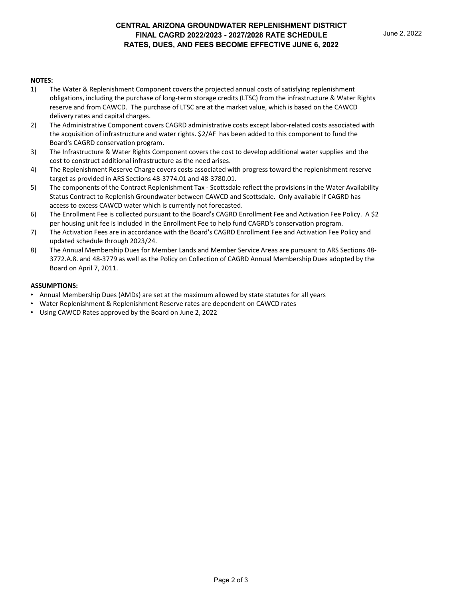#### **NOTES:**

- 1) The Water & Replenishment Component covers the projected annual costs of satisfying replenishment obligations, including the purchase of long-term storage credits (LTSC) from the infrastructure & Water Rights reserve and from CAWCD. The purchase of LTSC are at the market value, which is based on the CAWCD delivery rates and capital charges.
- 2) The Administrative Component covers CAGRD administrative costs except labor-related costs associated with the acquisition of infrastructure and water rights. \$2/AF has been added to this component to fund the Board's CAGRD conservation program.
- 3) The Infrastructure & Water Rights Component covers the cost to develop additional water supplies and the cost to construct additional infrastructure as the need arises.
- 4) The Replenishment Reserve Charge covers costs associated with progress toward the replenishment reserve target as provided in ARS Sections 48-3774.01 and 48-3780.01.
- 5) The components of the Contract Replenishment Tax Scottsdale reflect the provisions in the Water Availability Status Contract to Replenish Groundwater between CAWCD and Scottsdale. Only available if CAGRD has access to excess CAWCD water which is currently not forecasted.
- 6) The Enrollment Fee is collected pursuant to the Board's CAGRD Enrollment Fee and Activation Fee Policy. A \$2 per housing unit fee is included in the Enrollment Fee to help fund CAGRD's conservation program.
- 7) The Activation Fees are in accordance with the Board's CAGRD Enrollment Fee and Activation Fee Policy and updated schedule through 2023/24.
- 8) The Annual Membership Dues for Member Lands and Member Service Areas are pursuant to ARS Sections 48- 3772.A.8. and 48-3779 as well as the Policy on Collection of CAGRD Annual Membership Dues adopted by the Board on April 7, 2011.

#### **ASSUMPTIONS:**

- Annual Membership Dues (AMDs) are set at the maximum allowed by state statutes for all years
- Water Replenishment & Replenishment Reserve rates are dependent on CAWCD rates
- Using CAWCD Rates approved by the Board on June 2, 2022